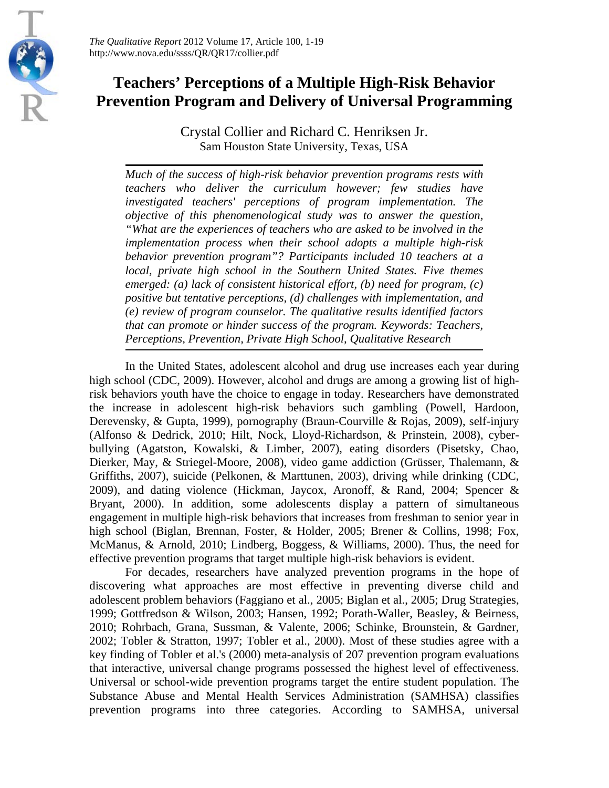*The Qualitative Report* 2012 Volume 17, Article 100, 1-19 http://www.nova.edu/ssss/QR/QR17/collier.pdf

# **Teachers' Perceptions of a Multiple High-Risk Behavior Prevention Program and Delivery of Universal Programming**

Crystal Collier and Richard C. Henriksen Jr. Sam Houston State University, Texas, USA

*Much of the success of high-risk behavior prevention programs rests with teachers who deliver the curriculum however; few studies have investigated teachers' perceptions of program implementation. The objective of this phenomenological study was to answer the question, "What are the experiences of teachers who are asked to be involved in the implementation process when their school adopts a multiple high-risk behavior prevention program"? Participants included 10 teachers at a local, private high school in the Southern United States. Five themes emerged: (a) lack of consistent historical effort, (b) need for program, (c) positive but tentative perceptions, (d) challenges with implementation, and (e) review of program counselor. The qualitative results identified factors that can promote or hinder success of the program. Keywords: Teachers, Perceptions, Prevention, Private High School, Qualitative Research*

In the United States, adolescent alcohol and drug use increases each year during high school (CDC, 2009). However, alcohol and drugs are among a growing list of highrisk behaviors youth have the choice to engage in today. Researchers have demonstrated the increase in adolescent high-risk behaviors such gambling (Powell, Hardoon, Derevensky, & Gupta, 1999), pornography (Braun-Courville & Rojas, 2009), self-injury (Alfonso & Dedrick, 2010; Hilt, Nock, Lloyd-Richardson, & Prinstein, 2008), cyberbullying (Agatston, Kowalski, & Limber, 2007), eating disorders (Pisetsky, Chao, Dierker, May, & Striegel-Moore, 2008), video game addiction (Grüsser, Thalemann, & Griffiths, 2007), suicide (Pelkonen, & Marttunen, 2003), driving while drinking (CDC, 2009), and dating violence (Hickman, Jaycox, Aronoff, & Rand, 2004; Spencer & Bryant, 2000). In addition, some adolescents display a pattern of simultaneous engagement in multiple high-risk behaviors that increases from freshman to senior year in high school (Biglan, Brennan, Foster, & Holder, 2005; Brener & Collins, 1998; Fox, McManus, & Arnold, 2010; Lindberg, Boggess, & Williams, 2000). Thus, the need for effective prevention programs that target multiple high-risk behaviors is evident.

For decades, researchers have analyzed prevention programs in the hope of discovering what approaches are most effective in preventing diverse child and adolescent problem behaviors (Faggiano et al., 2005; Biglan et al., 2005; Drug Strategies, 1999; Gottfredson & Wilson, 2003; Hansen, 1992; Porath-Waller, Beasley, & Beirness, 2010; Rohrbach, Grana, Sussman, & Valente, 2006; Schinke, Brounstein, & Gardner, 2002; Tobler & Stratton, 1997; Tobler et al., 2000). Most of these studies agree with a key finding of Tobler et al.'s (2000) meta-analysis of 207 prevention program evaluations that interactive, universal change programs possessed the highest level of effectiveness. Universal or school-wide prevention programs target the entire student population. The Substance Abuse and Mental Health Services Administration (SAMHSA) classifies prevention programs into three categories. According to SAMHSA, universal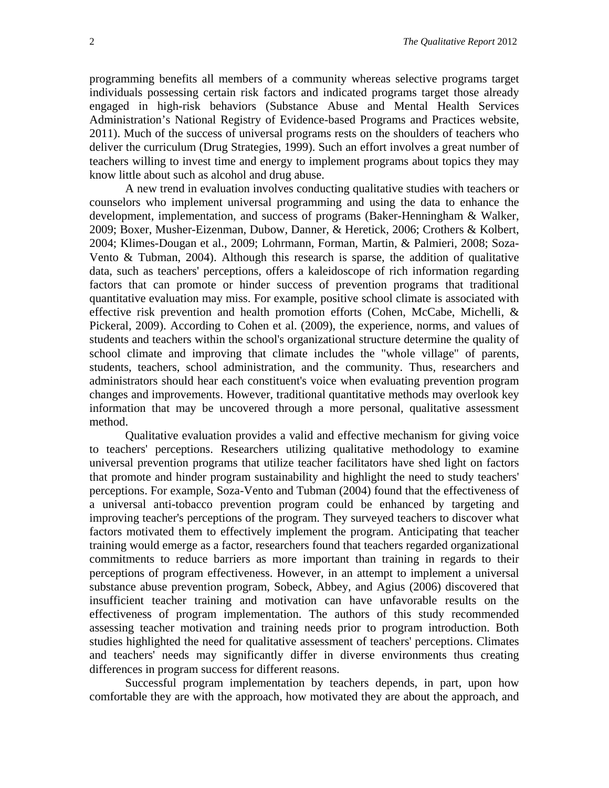programming benefits all members of a community whereas selective programs target individuals possessing certain risk factors and indicated programs target those already engaged in high-risk behaviors (Substance Abuse and Mental Health Services Administration's National Registry of Evidence-based Programs and Practices website, 2011). Much of the success of universal programs rests on the shoulders of teachers who deliver the curriculum (Drug Strategies, 1999). Such an effort involves a great number of teachers willing to invest time and energy to implement programs about topics they may know little about such as alcohol and drug abuse.

A new trend in evaluation involves conducting qualitative studies with teachers or counselors who implement universal programming and using the data to enhance the development, implementation, and success of programs (Baker-Henningham & Walker, 2009; Boxer, Musher-Eizenman, Dubow, Danner, & Heretick, 2006; Crothers & Kolbert, 2004; Klimes-Dougan et al., 2009; Lohrmann, Forman, Martin, & Palmieri, 2008; Soza-Vento & Tubman, 2004). Although this research is sparse, the addition of qualitative data, such as teachers' perceptions, offers a kaleidoscope of rich information regarding factors that can promote or hinder success of prevention programs that traditional quantitative evaluation may miss. For example, positive school climate is associated with effective risk prevention and health promotion efforts (Cohen, McCabe, Michelli, & Pickeral, 2009). According to Cohen et al. (2009), the experience, norms, and values of students and teachers within the school's organizational structure determine the quality of school climate and improving that climate includes the "whole village" of parents, students, teachers, school administration, and the community. Thus, researchers and administrators should hear each constituent's voice when evaluating prevention program changes and improvements. However, traditional quantitative methods may overlook key information that may be uncovered through a more personal, qualitative assessment method.

Qualitative evaluation provides a valid and effective mechanism for giving voice to teachers' perceptions. Researchers utilizing qualitative methodology to examine universal prevention programs that utilize teacher facilitators have shed light on factors that promote and hinder program sustainability and highlight the need to study teachers' perceptions. For example, Soza-Vento and Tubman (2004) found that the effectiveness of a universal anti-tobacco prevention program could be enhanced by targeting and improving teacher's perceptions of the program. They surveyed teachers to discover what factors motivated them to effectively implement the program. Anticipating that teacher training would emerge as a factor, researchers found that teachers regarded organizational commitments to reduce barriers as more important than training in regards to their perceptions of program effectiveness. However, in an attempt to implement a universal substance abuse prevention program, Sobeck, Abbey, and Agius (2006) discovered that insufficient teacher training and motivation can have unfavorable results on the effectiveness of program implementation. The authors of this study recommended assessing teacher motivation and training needs prior to program introduction. Both studies highlighted the need for qualitative assessment of teachers' perceptions. Climates and teachers' needs may significantly differ in diverse environments thus creating differences in program success for different reasons.

Successful program implementation by teachers depends, in part, upon how comfortable they are with the approach, how motivated they are about the approach, and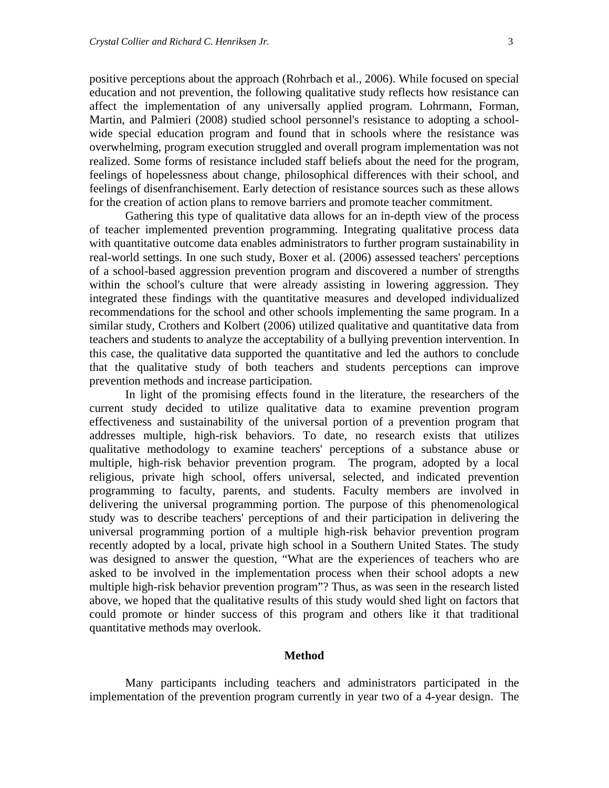positive perceptions about the approach (Rohrbach et al., 2006). While focused on special education and not prevention, the following qualitative study reflects how resistance can affect the implementation of any universally applied program. Lohrmann, Forman, Martin, and Palmieri (2008) studied school personnel's resistance to adopting a schoolwide special education program and found that in schools where the resistance was overwhelming, program execution struggled and overall program implementation was not realized. Some forms of resistance included staff beliefs about the need for the program, feelings of hopelessness about change, philosophical differences with their school, and feelings of disenfranchisement. Early detection of resistance sources such as these allows for the creation of action plans to remove barriers and promote teacher commitment.

Gathering this type of qualitative data allows for an in-depth view of the process of teacher implemented prevention programming. Integrating qualitative process data with quantitative outcome data enables administrators to further program sustainability in real-world settings. In one such study, Boxer et al. (2006) assessed teachers' perceptions of a school-based aggression prevention program and discovered a number of strengths within the school's culture that were already assisting in lowering aggression. They integrated these findings with the quantitative measures and developed individualized recommendations for the school and other schools implementing the same program. In a similar study, Crothers and Kolbert (2006) utilized qualitative and quantitative data from teachers and students to analyze the acceptability of a bullying prevention intervention. In this case, the qualitative data supported the quantitative and led the authors to conclude that the qualitative study of both teachers and students perceptions can improve prevention methods and increase participation.

In light of the promising effects found in the literature, the researchers of the current study decided to utilize qualitative data to examine prevention program effectiveness and sustainability of the universal portion of a prevention program that addresses multiple, high-risk behaviors. To date, no research exists that utilizes qualitative methodology to examine teachers' perceptions of a substance abuse or multiple, high-risk behavior prevention program. The program, adopted by a local religious, private high school, offers universal, selected, and indicated prevention programming to faculty, parents, and students. Faculty members are involved in delivering the universal programming portion. The purpose of this phenomenological study was to describe teachers' perceptions of and their participation in delivering the universal programming portion of a multiple high-risk behavior prevention program recently adopted by a local, private high school in a Southern United States. The study was designed to answer the question, "What are the experiences of teachers who are asked to be involved in the implementation process when their school adopts a new multiple high-risk behavior prevention program"? Thus, as was seen in the research listed above, we hoped that the qualitative results of this study would shed light on factors that could promote or hinder success of this program and others like it that traditional quantitative methods may overlook.

## **Method**

Many participants including teachers and administrators participated in the implementation of the prevention program currently in year two of a 4-year design. The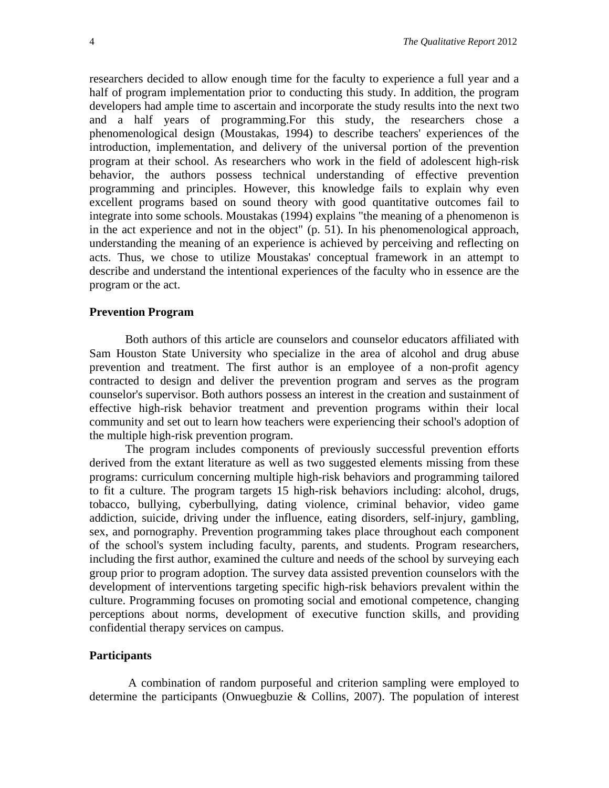researchers decided to allow enough time for the faculty to experience a full year and a half of program implementation prior to conducting this study. In addition, the program developers had ample time to ascertain and incorporate the study results into the next two and a half years of programming.For this study, the researchers chose a phenomenological design (Moustakas, 1994) to describe teachers' experiences of the introduction, implementation, and delivery of the universal portion of the prevention program at their school. As researchers who work in the field of adolescent high-risk behavior, the authors possess technical understanding of effective prevention programming and principles. However, this knowledge fails to explain why even excellent programs based on sound theory with good quantitative outcomes fail to integrate into some schools. Moustakas (1994) explains "the meaning of a phenomenon is in the act experience and not in the object" (p. 51). In his phenomenological approach, understanding the meaning of an experience is achieved by perceiving and reflecting on acts. Thus, we chose to utilize Moustakas' conceptual framework in an attempt to describe and understand the intentional experiences of the faculty who in essence are the program or the act.

## **Prevention Program**

Both authors of this article are counselors and counselor educators affiliated with Sam Houston State University who specialize in the area of alcohol and drug abuse prevention and treatment. The first author is an employee of a non-profit agency contracted to design and deliver the prevention program and serves as the program counselor's supervisor. Both authors possess an interest in the creation and sustainment of effective high-risk behavior treatment and prevention programs within their local community and set out to learn how teachers were experiencing their school's adoption of the multiple high-risk prevention program.

The program includes components of previously successful prevention efforts derived from the extant literature as well as two suggested elements missing from these programs: curriculum concerning multiple high-risk behaviors and programming tailored to fit a culture. The program targets 15 high-risk behaviors including: alcohol, drugs, tobacco, bullying, cyberbullying, dating violence, criminal behavior, video game addiction, suicide, driving under the influence, eating disorders, self-injury, gambling, sex, and pornography. Prevention programming takes place throughout each component of the school's system including faculty, parents, and students. Program researchers, including the first author, examined the culture and needs of the school by surveying each group prior to program adoption. The survey data assisted prevention counselors with the development of interventions targeting specific high-risk behaviors prevalent within the culture. Programming focuses on promoting social and emotional competence, changing perceptions about norms, development of executive function skills, and providing confidential therapy services on campus.

## **Participants**

A combination of random purposeful and criterion sampling were employed to determine the participants (Onwuegbuzie & Collins, 2007). The population of interest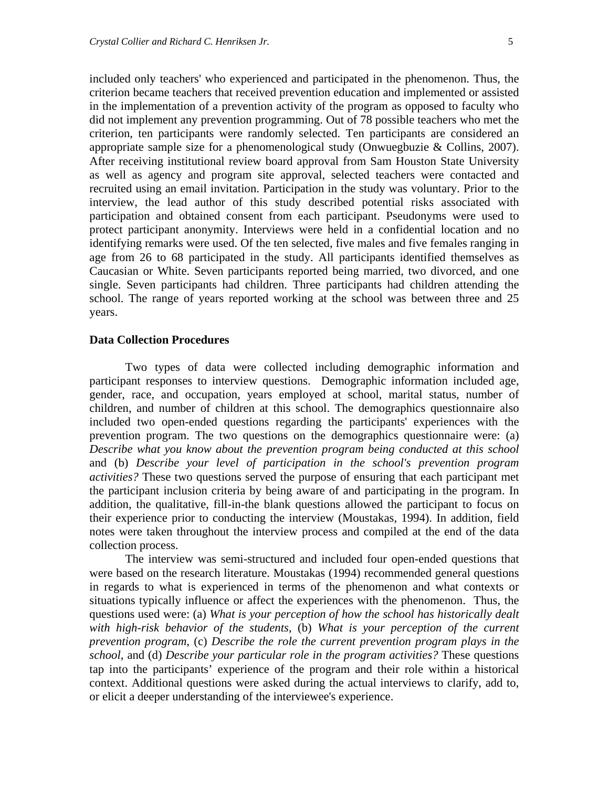included only teachers' who experienced and participated in the phenomenon. Thus, the criterion became teachers that received prevention education and implemented or assisted in the implementation of a prevention activity of the program as opposed to faculty who did not implement any prevention programming. Out of 78 possible teachers who met the criterion, ten participants were randomly selected. Ten participants are considered an appropriate sample size for a phenomenological study (Onwuegbuzie & Collins, 2007). After receiving institutional review board approval from Sam Houston State University as well as agency and program site approval, selected teachers were contacted and recruited using an email invitation. Participation in the study was voluntary. Prior to the interview, the lead author of this study described potential risks associated with participation and obtained consent from each participant. Pseudonyms were used to protect participant anonymity. Interviews were held in a confidential location and no identifying remarks were used. Of the ten selected, five males and five females ranging in age from 26 to 68 participated in the study. All participants identified themselves as Caucasian or White. Seven participants reported being married, two divorced, and one single. Seven participants had children. Three participants had children attending the school. The range of years reported working at the school was between three and 25 years.

## **Data Collection Procedures**

Two types of data were collected including demographic information and participant responses to interview questions. Demographic information included age, gender, race, and occupation, years employed at school, marital status, number of children, and number of children at this school. The demographics questionnaire also included two open-ended questions regarding the participants' experiences with the prevention program. The two questions on the demographics questionnaire were: (a) *Describe what you know about the prevention program being conducted at this school* and (b) *Describe your level of participation in the school's prevention program activities?* These two questions served the purpose of ensuring that each participant met the participant inclusion criteria by being aware of and participating in the program. In addition, the qualitative, fill-in-the blank questions allowed the participant to focus on their experience prior to conducting the interview (Moustakas, 1994). In addition, field notes were taken throughout the interview process and compiled at the end of the data collection process.

The interview was semi-structured and included four open-ended questions that were based on the research literature. Moustakas (1994) recommended general questions in regards to what is experienced in terms of the phenomenon and what contexts or situations typically influence or affect the experiences with the phenomenon. Thus, the questions used were: (a) *What is your perception of how the school has historically dealt with high-risk behavior of the students*, (b) *What is your perception of the current prevention program*, (c) *Describe the role the current prevention program plays in the school*, and (d) *Describe your particular role in the program activities?* These questions tap into the participants' experience of the program and their role within a historical context. Additional questions were asked during the actual interviews to clarify, add to, or elicit a deeper understanding of the interviewee's experience.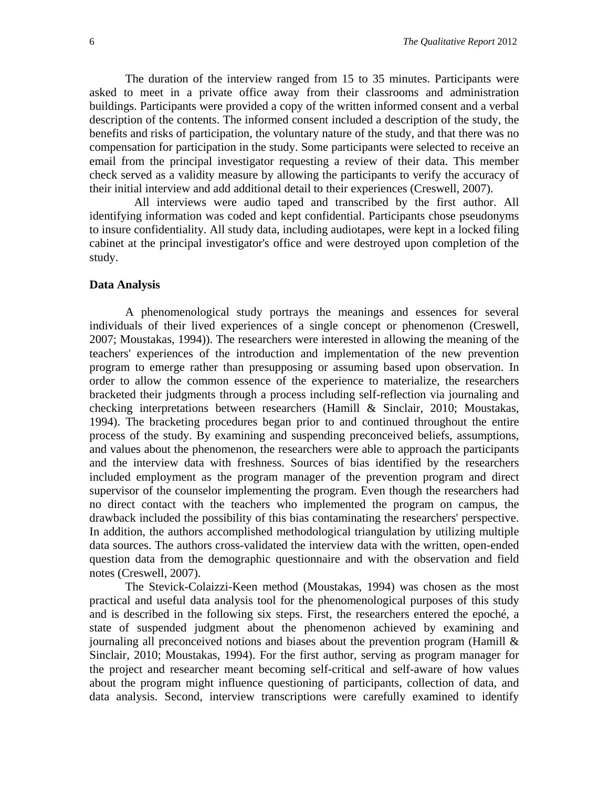The duration of the interview ranged from 15 to 35 minutes. Participants were asked to meet in a private office away from their classrooms and administration buildings. Participants were provided a copy of the written informed consent and a verbal description of the contents. The informed consent included a description of the study, the benefits and risks of participation, the voluntary nature of the study, and that there was no compensation for participation in the study. Some participants were selected to receive an email from the principal investigator requesting a review of their data. This member check served as a validity measure by allowing the participants to verify the accuracy of their initial interview and add additional detail to their experiences (Creswell, 2007).

 All interviews were audio taped and transcribed by the first author. All identifying information was coded and kept confidential. Participants chose pseudonyms to insure confidentiality. All study data, including audiotapes, were kept in a locked filing cabinet at the principal investigator's office and were destroyed upon completion of the study.

#### **Data Analysis**

A phenomenological study portrays the meanings and essences for several individuals of their lived experiences of a single concept or phenomenon (Creswell, 2007; Moustakas, 1994)). The researchers were interested in allowing the meaning of the teachers' experiences of the introduction and implementation of the new prevention program to emerge rather than presupposing or assuming based upon observation. In order to allow the common essence of the experience to materialize, the researchers bracketed their judgments through a process including self-reflection via journaling and checking interpretations between researchers (Hamill & Sinclair, 2010; Moustakas, 1994). The bracketing procedures began prior to and continued throughout the entire process of the study. By examining and suspending preconceived beliefs, assumptions, and values about the phenomenon, the researchers were able to approach the participants and the interview data with freshness. Sources of bias identified by the researchers included employment as the program manager of the prevention program and direct supervisor of the counselor implementing the program. Even though the researchers had no direct contact with the teachers who implemented the program on campus, the drawback included the possibility of this bias contaminating the researchers' perspective. In addition, the authors accomplished methodological triangulation by utilizing multiple data sources. The authors cross-validated the interview data with the written, open-ended question data from the demographic questionnaire and with the observation and field notes (Creswell, 2007).

The Stevick-Colaizzi-Keen method (Moustakas, 1994) was chosen as the most practical and useful data analysis tool for the phenomenological purposes of this study and is described in the following six steps. First, the researchers entered the epoché, a state of suspended judgment about the phenomenon achieved by examining and journaling all preconceived notions and biases about the prevention program (Hamill & Sinclair, 2010; Moustakas, 1994). For the first author, serving as program manager for the project and researcher meant becoming self-critical and self-aware of how values about the program might influence questioning of participants, collection of data, and data analysis. Second, interview transcriptions were carefully examined to identify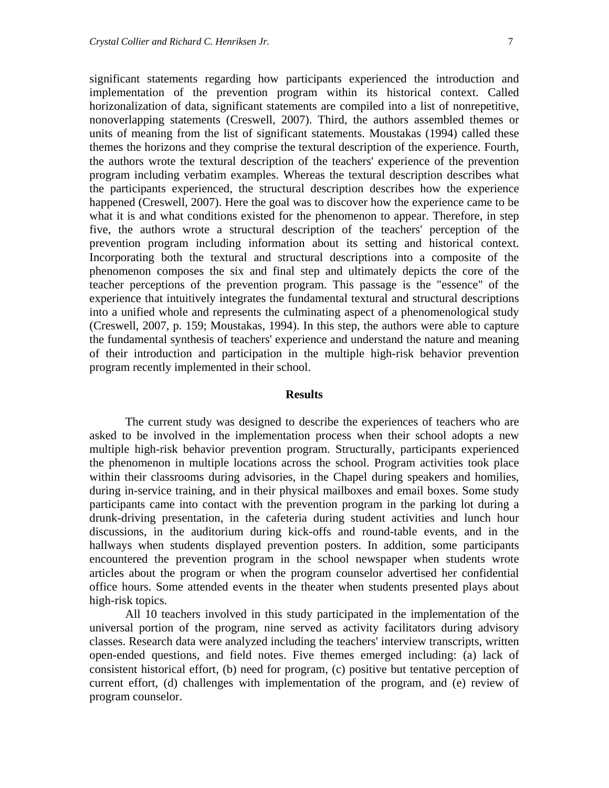significant statements regarding how participants experienced the introduction and implementation of the prevention program within its historical context. Called horizonalization of data, significant statements are compiled into a list of nonrepetitive, nonoverlapping statements (Creswell, 2007). Third, the authors assembled themes or units of meaning from the list of significant statements. Moustakas (1994) called these themes the horizons and they comprise the textural description of the experience. Fourth, the authors wrote the textural description of the teachers' experience of the prevention program including verbatim examples. Whereas the textural description describes what the participants experienced, the structural description describes how the experience happened (Creswell, 2007). Here the goal was to discover how the experience came to be what it is and what conditions existed for the phenomenon to appear. Therefore, in step five, the authors wrote a structural description of the teachers' perception of the prevention program including information about its setting and historical context. Incorporating both the textural and structural descriptions into a composite of the phenomenon composes the six and final step and ultimately depicts the core of the teacher perceptions of the prevention program. This passage is the "essence" of the experience that intuitively integrates the fundamental textural and structural descriptions into a unified whole and represents the culminating aspect of a phenomenological study (Creswell, 2007, p. 159; Moustakas, 1994). In this step, the authors were able to capture the fundamental synthesis of teachers' experience and understand the nature and meaning of their introduction and participation in the multiple high-risk behavior prevention program recently implemented in their school.

#### **Results**

The current study was designed to describe the experiences of teachers who are asked to be involved in the implementation process when their school adopts a new multiple high-risk behavior prevention program. Structurally, participants experienced the phenomenon in multiple locations across the school. Program activities took place within their classrooms during advisories, in the Chapel during speakers and homilies, during in-service training, and in their physical mailboxes and email boxes. Some study participants came into contact with the prevention program in the parking lot during a drunk-driving presentation, in the cafeteria during student activities and lunch hour discussions, in the auditorium during kick-offs and round-table events, and in the hallways when students displayed prevention posters. In addition, some participants encountered the prevention program in the school newspaper when students wrote articles about the program or when the program counselor advertised her confidential office hours. Some attended events in the theater when students presented plays about high-risk topics.

All 10 teachers involved in this study participated in the implementation of the universal portion of the program, nine served as activity facilitators during advisory classes. Research data were analyzed including the teachers' interview transcripts, written open-ended questions, and field notes. Five themes emerged including: (a) lack of consistent historical effort, (b) need for program, (c) positive but tentative perception of current effort, (d) challenges with implementation of the program, and (e) review of program counselor.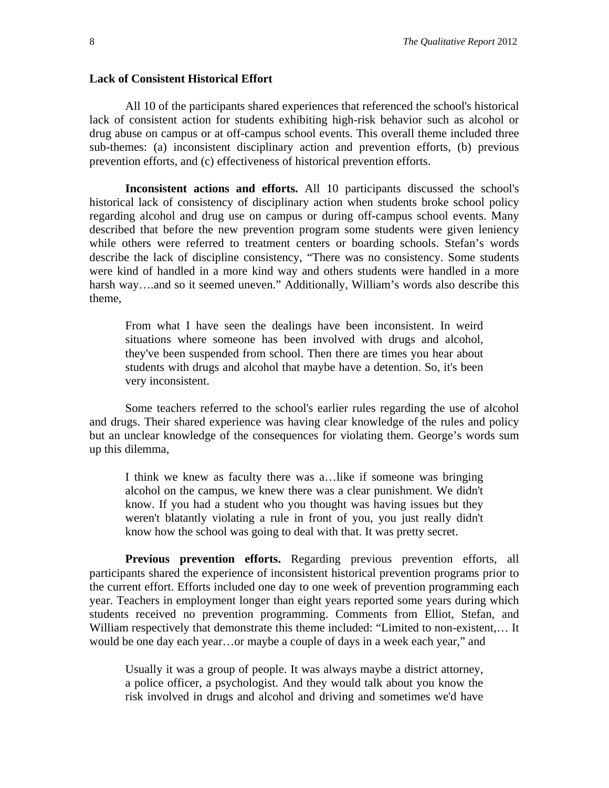## **Lack of Consistent Historical Effort**

All 10 of the participants shared experiences that referenced the school's historical lack of consistent action for students exhibiting high-risk behavior such as alcohol or drug abuse on campus or at off-campus school events. This overall theme included three sub-themes: (a) inconsistent disciplinary action and prevention efforts, (b) previous prevention efforts, and (c) effectiveness of historical prevention efforts.

**Inconsistent actions and efforts.** All 10 participants discussed the school's historical lack of consistency of disciplinary action when students broke school policy regarding alcohol and drug use on campus or during off-campus school events. Many described that before the new prevention program some students were given leniency while others were referred to treatment centers or boarding schools. Stefan's words describe the lack of discipline consistency, "There was no consistency. Some students were kind of handled in a more kind way and others students were handled in a more harsh way...and so it seemed uneven." Additionally, William's words also describe this theme,

From what I have seen the dealings have been inconsistent. In weird situations where someone has been involved with drugs and alcohol, they've been suspended from school. Then there are times you hear about students with drugs and alcohol that maybe have a detention. So, it's been very inconsistent.

Some teachers referred to the school's earlier rules regarding the use of alcohol and drugs. Their shared experience was having clear knowledge of the rules and policy but an unclear knowledge of the consequences for violating them. George's words sum up this dilemma,

I think we knew as faculty there was a…like if someone was bringing alcohol on the campus, we knew there was a clear punishment. We didn't know. If you had a student who you thought was having issues but they weren't blatantly violating a rule in front of you, you just really didn't know how the school was going to deal with that. It was pretty secret.

**Previous prevention efforts.** Regarding previous prevention efforts, all participants shared the experience of inconsistent historical prevention programs prior to the current effort. Efforts included one day to one week of prevention programming each year. Teachers in employment longer than eight years reported some years during which students received no prevention programming. Comments from Elliot, Stefan, and William respectively that demonstrate this theme included: "Limited to non-existent,… It would be one day each year…or maybe a couple of days in a week each year," and

Usually it was a group of people. It was always maybe a district attorney, a police officer, a psychologist. And they would talk about you know the risk involved in drugs and alcohol and driving and sometimes we'd have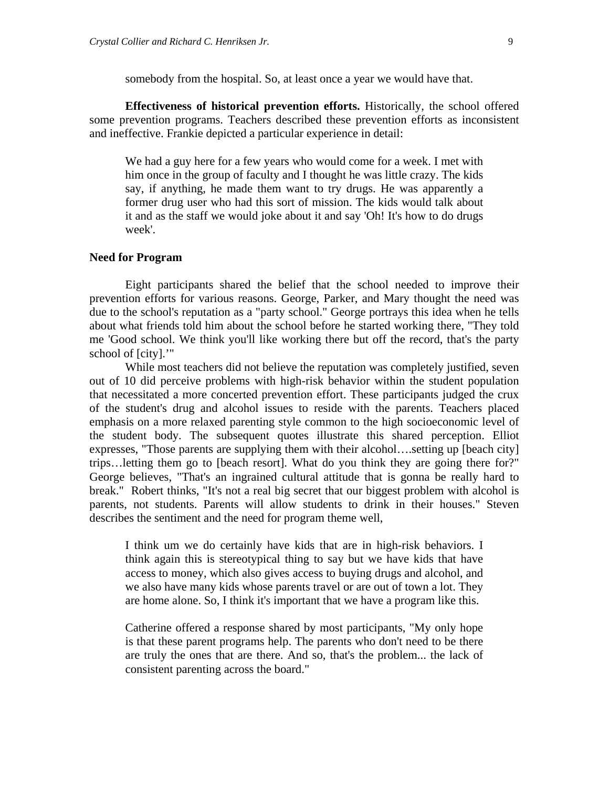somebody from the hospital. So, at least once a year we would have that.

**Effectiveness of historical prevention efforts.** Historically, the school offered some prevention programs. Teachers described these prevention efforts as inconsistent and ineffective. Frankie depicted a particular experience in detail:

We had a guy here for a few years who would come for a week. I met with him once in the group of faculty and I thought he was little crazy. The kids say, if anything, he made them want to try drugs. He was apparently a former drug user who had this sort of mission. The kids would talk about it and as the staff we would joke about it and say 'Oh! It's how to do drugs week'.

## **Need for Program**

Eight participants shared the belief that the school needed to improve their prevention efforts for various reasons. George, Parker, and Mary thought the need was due to the school's reputation as a "party school." George portrays this idea when he tells about what friends told him about the school before he started working there, "They told me 'Good school. We think you'll like working there but off the record, that's the party school of [city].'"

While most teachers did not believe the reputation was completely justified, seven out of 10 did perceive problems with high-risk behavior within the student population that necessitated a more concerted prevention effort. These participants judged the crux of the student's drug and alcohol issues to reside with the parents. Teachers placed emphasis on a more relaxed parenting style common to the high socioeconomic level of the student body. The subsequent quotes illustrate this shared perception. Elliot expresses, "Those parents are supplying them with their alcohol….setting up [beach city] trips…letting them go to [beach resort]. What do you think they are going there for?" George believes, "That's an ingrained cultural attitude that is gonna be really hard to break." Robert thinks, "It's not a real big secret that our biggest problem with alcohol is parents, not students. Parents will allow students to drink in their houses." Steven describes the sentiment and the need for program theme well,

I think um we do certainly have kids that are in high-risk behaviors. I think again this is stereotypical thing to say but we have kids that have access to money, which also gives access to buying drugs and alcohol, and we also have many kids whose parents travel or are out of town a lot. They are home alone. So, I think it's important that we have a program like this.

Catherine offered a response shared by most participants, "My only hope is that these parent programs help. The parents who don't need to be there are truly the ones that are there. And so, that's the problem... the lack of consistent parenting across the board."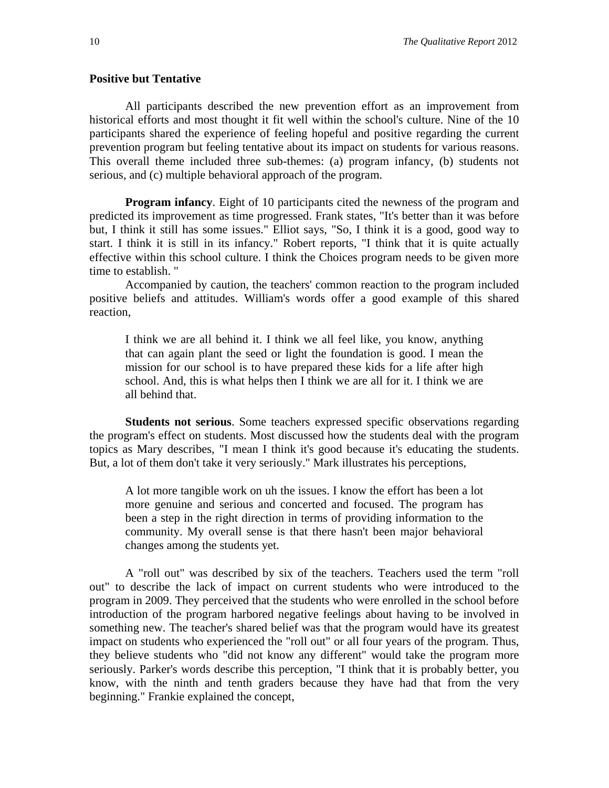## **Positive but Tentative**

All participants described the new prevention effort as an improvement from historical efforts and most thought it fit well within the school's culture. Nine of the 10 participants shared the experience of feeling hopeful and positive regarding the current prevention program but feeling tentative about its impact on students for various reasons. This overall theme included three sub-themes: (a) program infancy, (b) students not serious, and (c) multiple behavioral approach of the program.

**Program infancy**. Eight of 10 participants cited the newness of the program and predicted its improvement as time progressed. Frank states, "It's better than it was before but, I think it still has some issues." Elliot says, "So, I think it is a good, good way to start. I think it is still in its infancy." Robert reports, "I think that it is quite actually effective within this school culture. I think the Choices program needs to be given more time to establish. "

Accompanied by caution, the teachers' common reaction to the program included positive beliefs and attitudes. William's words offer a good example of this shared reaction,

I think we are all behind it. I think we all feel like, you know, anything that can again plant the seed or light the foundation is good. I mean the mission for our school is to have prepared these kids for a life after high school. And, this is what helps then I think we are all for it. I think we are all behind that.

**Students not serious**. Some teachers expressed specific observations regarding the program's effect on students. Most discussed how the students deal with the program topics as Mary describes, "I mean I think it's good because it's educating the students. But, a lot of them don't take it very seriously." Mark illustrates his perceptions,

A lot more tangible work on uh the issues. I know the effort has been a lot more genuine and serious and concerted and focused. The program has been a step in the right direction in terms of providing information to the community. My overall sense is that there hasn't been major behavioral changes among the students yet.

A "roll out" was described by six of the teachers. Teachers used the term "roll out" to describe the lack of impact on current students who were introduced to the program in 2009. They perceived that the students who were enrolled in the school before introduction of the program harbored negative feelings about having to be involved in something new. The teacher's shared belief was that the program would have its greatest impact on students who experienced the "roll out" or all four years of the program. Thus, they believe students who "did not know any different" would take the program more seriously. Parker's words describe this perception, "I think that it is probably better, you know, with the ninth and tenth graders because they have had that from the very beginning." Frankie explained the concept,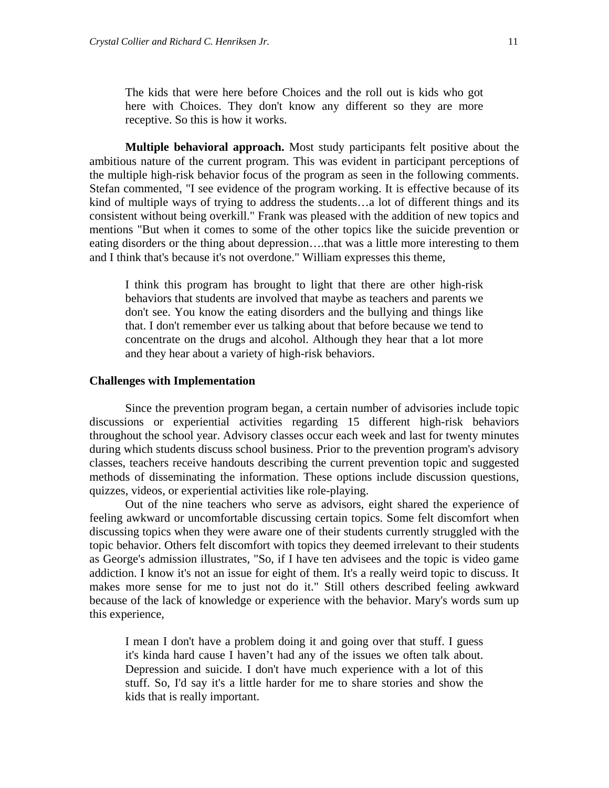The kids that were here before Choices and the roll out is kids who got here with Choices. They don't know any different so they are more receptive. So this is how it works.

**Multiple behavioral approach.** Most study participants felt positive about the ambitious nature of the current program. This was evident in participant perceptions of the multiple high-risk behavior focus of the program as seen in the following comments. Stefan commented, "I see evidence of the program working. It is effective because of its kind of multiple ways of trying to address the students…a lot of different things and its consistent without being overkill." Frank was pleased with the addition of new topics and mentions "But when it comes to some of the other topics like the suicide prevention or eating disorders or the thing about depression….that was a little more interesting to them and I think that's because it's not overdone." William expresses this theme,

I think this program has brought to light that there are other high-risk behaviors that students are involved that maybe as teachers and parents we don't see. You know the eating disorders and the bullying and things like that. I don't remember ever us talking about that before because we tend to concentrate on the drugs and alcohol. Although they hear that a lot more and they hear about a variety of high-risk behaviors.

#### **Challenges with Implementation**

Since the prevention program began, a certain number of advisories include topic discussions or experiential activities regarding 15 different high-risk behaviors throughout the school year. Advisory classes occur each week and last for twenty minutes during which students discuss school business. Prior to the prevention program's advisory classes, teachers receive handouts describing the current prevention topic and suggested methods of disseminating the information. These options include discussion questions, quizzes, videos, or experiential activities like role-playing.

Out of the nine teachers who serve as advisors, eight shared the experience of feeling awkward or uncomfortable discussing certain topics. Some felt discomfort when discussing topics when they were aware one of their students currently struggled with the topic behavior. Others felt discomfort with topics they deemed irrelevant to their students as George's admission illustrates, "So, if I have ten advisees and the topic is video game addiction. I know it's not an issue for eight of them. It's a really weird topic to discuss. It makes more sense for me to just not do it." Still others described feeling awkward because of the lack of knowledge or experience with the behavior. Mary's words sum up this experience,

I mean I don't have a problem doing it and going over that stuff. I guess it's kinda hard cause I haven't had any of the issues we often talk about. Depression and suicide. I don't have much experience with a lot of this stuff. So, I'd say it's a little harder for me to share stories and show the kids that is really important.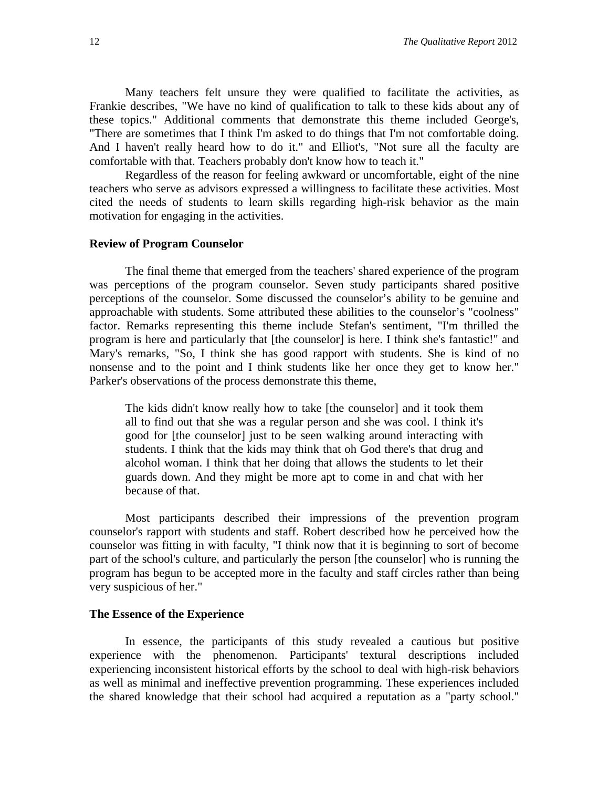Many teachers felt unsure they were qualified to facilitate the activities, as Frankie describes, "We have no kind of qualification to talk to these kids about any of these topics." Additional comments that demonstrate this theme included George's, "There are sometimes that I think I'm asked to do things that I'm not comfortable doing. And I haven't really heard how to do it." and Elliot's, "Not sure all the faculty are comfortable with that. Teachers probably don't know how to teach it."

Regardless of the reason for feeling awkward or uncomfortable, eight of the nine teachers who serve as advisors expressed a willingness to facilitate these activities. Most cited the needs of students to learn skills regarding high-risk behavior as the main motivation for engaging in the activities.

#### **Review of Program Counselor**

The final theme that emerged from the teachers' shared experience of the program was perceptions of the program counselor. Seven study participants shared positive perceptions of the counselor. Some discussed the counselor's ability to be genuine and approachable with students. Some attributed these abilities to the counselor's "coolness" factor. Remarks representing this theme include Stefan's sentiment, "I'm thrilled the program is here and particularly that [the counselor] is here. I think she's fantastic!" and Mary's remarks, "So, I think she has good rapport with students. She is kind of no nonsense and to the point and I think students like her once they get to know her." Parker's observations of the process demonstrate this theme,

The kids didn't know really how to take [the counselor] and it took them all to find out that she was a regular person and she was cool. I think it's good for [the counselor] just to be seen walking around interacting with students. I think that the kids may think that oh God there's that drug and alcohol woman. I think that her doing that allows the students to let their guards down. And they might be more apt to come in and chat with her because of that.

Most participants described their impressions of the prevention program counselor's rapport with students and staff. Robert described how he perceived how the counselor was fitting in with faculty, "I think now that it is beginning to sort of become part of the school's culture, and particularly the person [the counselor] who is running the program has begun to be accepted more in the faculty and staff circles rather than being very suspicious of her."

## **The Essence of the Experience**

In essence, the participants of this study revealed a cautious but positive experience with the phenomenon. Participants' textural descriptions included experiencing inconsistent historical efforts by the school to deal with high-risk behaviors as well as minimal and ineffective prevention programming. These experiences included the shared knowledge that their school had acquired a reputation as a "party school."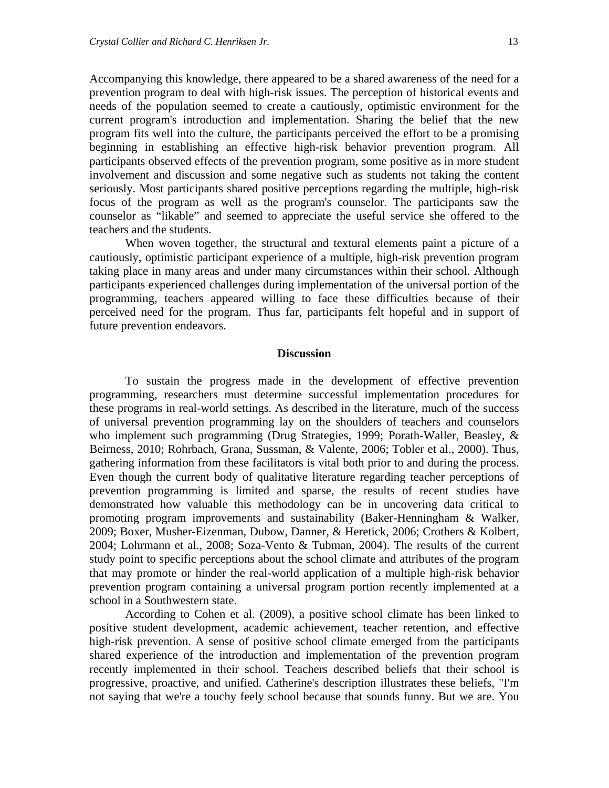Accompanying this knowledge, there appeared to be a shared awareness of the need for a prevention program to deal with high-risk issues. The perception of historical events and needs of the population seemed to create a cautiously, optimistic environment for the current program's introduction and implementation. Sharing the belief that the new program fits well into the culture, the participants perceived the effort to be a promising beginning in establishing an effective high-risk behavior prevention program. All participants observed effects of the prevention program, some positive as in more student involvement and discussion and some negative such as students not taking the content seriously. Most participants shared positive perceptions regarding the multiple, high-risk focus of the program as well as the program's counselor. The participants saw the counselor as "likable" and seemed to appreciate the useful service she offered to the teachers and the students.

When woven together, the structural and textural elements paint a picture of a cautiously, optimistic participant experience of a multiple, high-risk prevention program taking place in many areas and under many circumstances within their school. Although participants experienced challenges during implementation of the universal portion of the programming, teachers appeared willing to face these difficulties because of their perceived need for the program. Thus far, participants felt hopeful and in support of future prevention endeavors.

#### **Discussion**

To sustain the progress made in the development of effective prevention programming, researchers must determine successful implementation procedures for these programs in real-world settings. As described in the literature, much of the success of universal prevention programming lay on the shoulders of teachers and counselors who implement such programming (Drug Strategies, 1999; Porath-Waller, Beasley, & Beirness, 2010; Rohrbach, Grana, Sussman, & Valente, 2006; Tobler et al., 2000). Thus, gathering information from these facilitators is vital both prior to and during the process. Even though the current body of qualitative literature regarding teacher perceptions of prevention programming is limited and sparse, the results of recent studies have demonstrated how valuable this methodology can be in uncovering data critical to promoting program improvements and sustainability (Baker-Henningham & Walker, 2009; Boxer, Musher-Eizenman, Dubow, Danner, & Heretick, 2006; Crothers & Kolbert, 2004; Lohrmann et al., 2008; Soza-Vento & Tubman, 2004). The results of the current study point to specific perceptions about the school climate and attributes of the program that may promote or hinder the real-world application of a multiple high-risk behavior prevention program containing a universal program portion recently implemented at a school in a Southwestern state.

According to Cohen et al. (2009), a positive school climate has been linked to positive student development, academic achievement, teacher retention, and effective high-risk prevention. A sense of positive school climate emerged from the participants shared experience of the introduction and implementation of the prevention program recently implemented in their school. Teachers described beliefs that their school is progressive, proactive, and unified. Catherine's description illustrates these beliefs, "I'm not saying that we're a touchy feely school because that sounds funny. But we are. You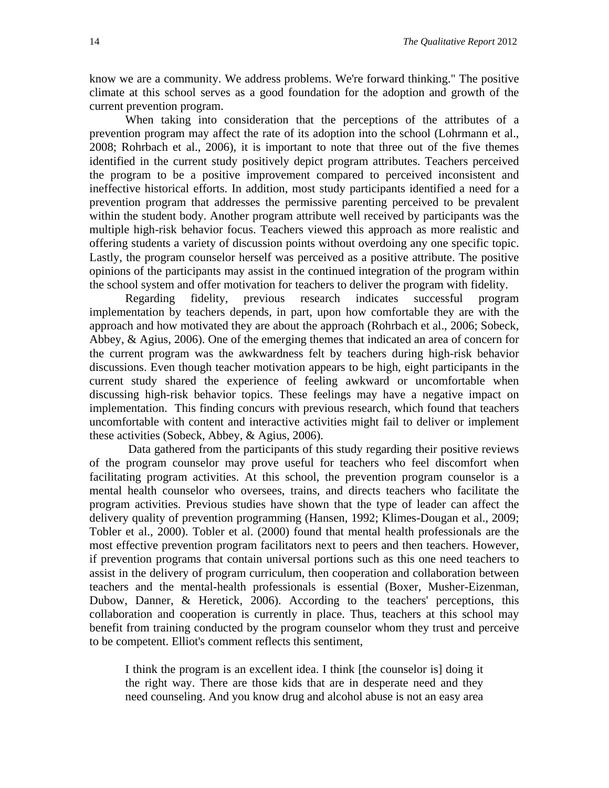know we are a community. We address problems. We're forward thinking." The positive climate at this school serves as a good foundation for the adoption and growth of the current prevention program.

When taking into consideration that the perceptions of the attributes of a prevention program may affect the rate of its adoption into the school (Lohrmann et al., 2008; Rohrbach et al., 2006), it is important to note that three out of the five themes identified in the current study positively depict program attributes. Teachers perceived the program to be a positive improvement compared to perceived inconsistent and ineffective historical efforts. In addition, most study participants identified a need for a prevention program that addresses the permissive parenting perceived to be prevalent within the student body. Another program attribute well received by participants was the multiple high-risk behavior focus. Teachers viewed this approach as more realistic and offering students a variety of discussion points without overdoing any one specific topic. Lastly, the program counselor herself was perceived as a positive attribute. The positive opinions of the participants may assist in the continued integration of the program within the school system and offer motivation for teachers to deliver the program with fidelity.

Regarding fidelity, previous research indicates successful program implementation by teachers depends, in part, upon how comfortable they are with the approach and how motivated they are about the approach (Rohrbach et al., 2006; Sobeck, Abbey, & Agius, 2006). One of the emerging themes that indicated an area of concern for the current program was the awkwardness felt by teachers during high-risk behavior discussions. Even though teacher motivation appears to be high, eight participants in the current study shared the experience of feeling awkward or uncomfortable when discussing high-risk behavior topics. These feelings may have a negative impact on implementation. This finding concurs with previous research, which found that teachers uncomfortable with content and interactive activities might fail to deliver or implement these activities (Sobeck, Abbey, & Agius, 2006).

Data gathered from the participants of this study regarding their positive reviews of the program counselor may prove useful for teachers who feel discomfort when facilitating program activities. At this school, the prevention program counselor is a mental health counselor who oversees, trains, and directs teachers who facilitate the program activities. Previous studies have shown that the type of leader can affect the delivery quality of prevention programming (Hansen, 1992; Klimes-Dougan et al., 2009; Tobler et al., 2000). Tobler et al. (2000) found that mental health professionals are the most effective prevention program facilitators next to peers and then teachers. However, if prevention programs that contain universal portions such as this one need teachers to assist in the delivery of program curriculum, then cooperation and collaboration between teachers and the mental-health professionals is essential (Boxer, Musher-Eizenman, Dubow, Danner, & Heretick, 2006). According to the teachers' perceptions, this collaboration and cooperation is currently in place. Thus, teachers at this school may benefit from training conducted by the program counselor whom they trust and perceive to be competent. Elliot's comment reflects this sentiment,

I think the program is an excellent idea. I think [the counselor is] doing it the right way. There are those kids that are in desperate need and they need counseling. And you know drug and alcohol abuse is not an easy area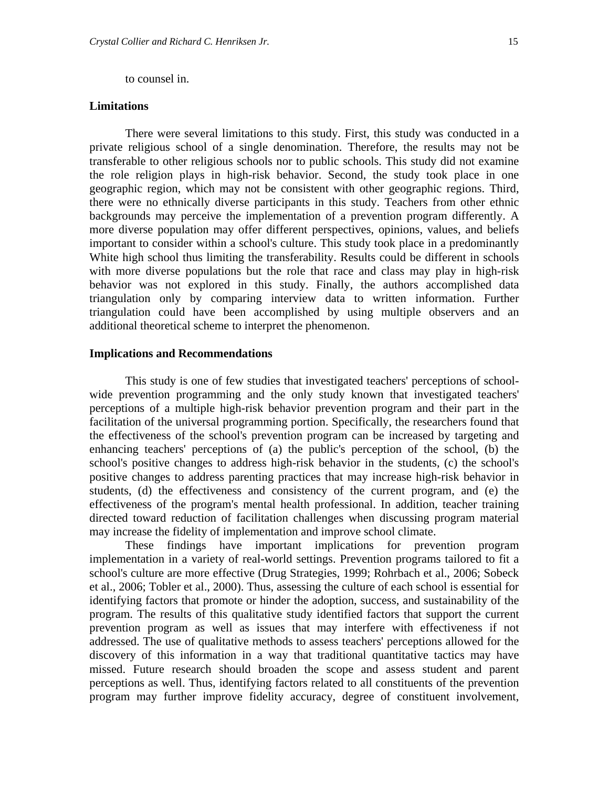to counsel in.

## **Limitations**

There were several limitations to this study. First, this study was conducted in a private religious school of a single denomination. Therefore, the results may not be transferable to other religious schools nor to public schools. This study did not examine the role religion plays in high-risk behavior. Second, the study took place in one geographic region, which may not be consistent with other geographic regions. Third, there were no ethnically diverse participants in this study. Teachers from other ethnic backgrounds may perceive the implementation of a prevention program differently. A more diverse population may offer different perspectives, opinions, values, and beliefs important to consider within a school's culture. This study took place in a predominantly White high school thus limiting the transferability. Results could be different in schools with more diverse populations but the role that race and class may play in high-risk behavior was not explored in this study. Finally, the authors accomplished data triangulation only by comparing interview data to written information. Further triangulation could have been accomplished by using multiple observers and an additional theoretical scheme to interpret the phenomenon.

## **Implications and Recommendations**

This study is one of few studies that investigated teachers' perceptions of schoolwide prevention programming and the only study known that investigated teachers' perceptions of a multiple high-risk behavior prevention program and their part in the facilitation of the universal programming portion. Specifically, the researchers found that the effectiveness of the school's prevention program can be increased by targeting and enhancing teachers' perceptions of (a) the public's perception of the school, (b) the school's positive changes to address high-risk behavior in the students, (c) the school's positive changes to address parenting practices that may increase high-risk behavior in students, (d) the effectiveness and consistency of the current program, and (e) the effectiveness of the program's mental health professional. In addition, teacher training directed toward reduction of facilitation challenges when discussing program material may increase the fidelity of implementation and improve school climate.

These findings have important implications for prevention program implementation in a variety of real-world settings. Prevention programs tailored to fit a school's culture are more effective (Drug Strategies, 1999; Rohrbach et al., 2006; Sobeck et al., 2006; Tobler et al., 2000). Thus, assessing the culture of each school is essential for identifying factors that promote or hinder the adoption, success, and sustainability of the program. The results of this qualitative study identified factors that support the current prevention program as well as issues that may interfere with effectiveness if not addressed. The use of qualitative methods to assess teachers' perceptions allowed for the discovery of this information in a way that traditional quantitative tactics may have missed. Future research should broaden the scope and assess student and parent perceptions as well. Thus, identifying factors related to all constituents of the prevention program may further improve fidelity accuracy, degree of constituent involvement,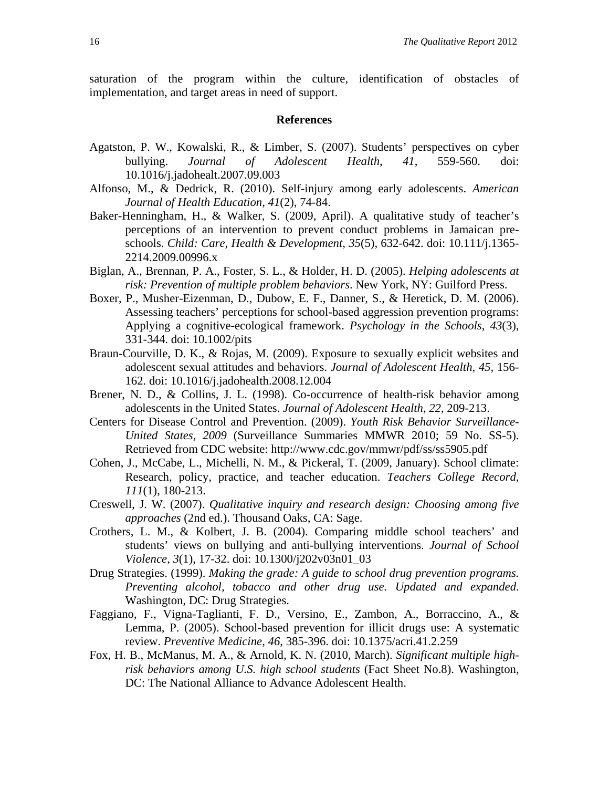saturation of the program within the culture, identification of obstacles of implementation, and target areas in need of support.

#### **References**

- Agatston, P. W., Kowalski, R., & Limber, S. (2007). Students' perspectives on cyber bullying. *Journal of Adolescent Health*, *41*, 559-560. doi: 10.1016/j.jadohealt.2007.09.003
- Alfonso, M., & Dedrick, R. (2010). Self-injury among early adolescents. *American Journal of Health Education*, *41*(2), 74-84.
- Baker-Henningham, H., & Walker, S. (2009, April). A qualitative study of teacher's perceptions of an intervention to prevent conduct problems in Jamaican preschools. *Child: Care, Health & Development*, *35*(5), 632-642. doi: 10.111/j.1365- 2214.2009.00996.x
- Biglan, A., Brennan, P. A., Foster, S. L., & Holder, H. D. (2005). *Helping adolescents at risk: Prevention of multiple problem behaviors*. New York, NY: Guilford Press.
- Boxer, P., Musher-Eizenman, D., Dubow, E. F., Danner, S., & Heretick, D. M. (2006). Assessing teachers' perceptions for school-based aggression prevention programs: Applying a cognitive-ecological framework. *Psychology in the Schools*, *43*(3), 331-344. doi: 10.1002/pits
- Braun-Courville, D. K., & Rojas, M. (2009). Exposure to sexually explicit websites and adolescent sexual attitudes and behaviors. *Journal of Adolescent Health*, *45*, 156- 162. doi: 10.1016/j.jadohealth.2008.12.004
- Brener, N. D., & Collins, J. L. (1998). Co-occurrence of health-risk behavior among adolescents in the United States. *Journal of Adolescent Health*, *22*, 209-213.
- Centers for Disease Control and Prevention. (2009). *Youth Risk Behavior Surveillance-United States, 2009* (Surveillance Summaries MMWR 2010; 59 No. SS-5). Retrieved from CDC website: http://www.cdc.gov/mmwr/pdf/ss/ss5905.pdf
- Cohen, J., McCabe, L., Michelli, N. M., & Pickeral, T. (2009, January). School climate: Research, policy, practice, and teacher education. *Teachers College Record*, *111*(1), 180-213.
- Creswell, J. W. (2007). *Qualitative inquiry and research design: Choosing among five approaches* (2nd ed.). Thousand Oaks, CA: Sage.
- Crothers, L. M., & Kolbert, J. B. (2004). Comparing middle school teachers' and students' views on bullying and anti-bullying interventions. *Journal of School Violence*, *3*(1), 17-32. doi: 10.1300/j202v03n01\_03
- Drug Strategies. (1999). *Making the grade: A guide to school drug prevention programs. Preventing alcohol, tobacco and other drug use. Updated and expanded*. Washington, DC: Drug Strategies.
- Faggiano, F., Vigna-Taglianti, F. D., Versino, E., Zambon, A., Borraccino, A., & Lemma, P. (2005). School-based prevention for illicit drugs use: A systematic review. *Preventive Medicine*, *46*, 385-396. doi: 10.1375/acri.41.2.259
- Fox, H. B., McManus, M. A., & Arnold, K. N. (2010, March). *Significant multiple highrisk behaviors among U.S. high school students* (Fact Sheet No.8). Washington, DC: The National Alliance to Advance Adolescent Health.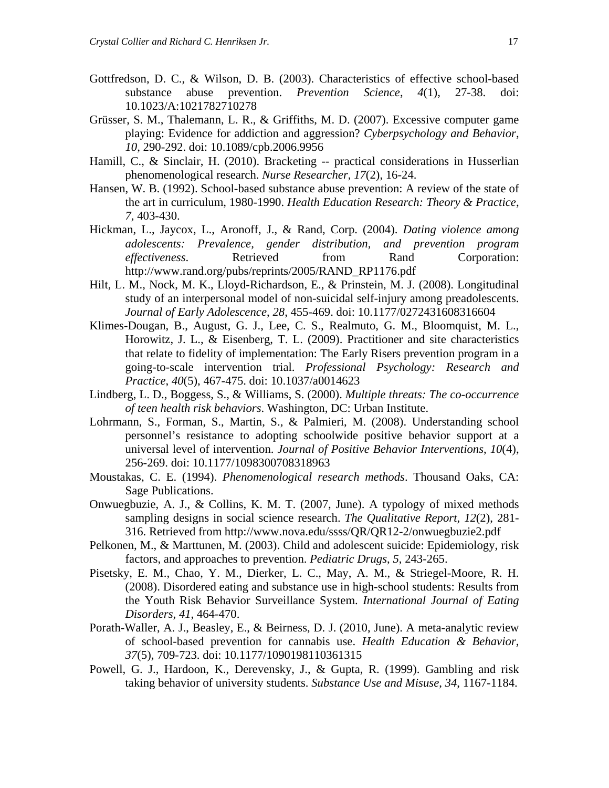- Gottfredson, D. C., & Wilson, D. B. (2003). Characteristics of effective school-based substance abuse prevention. *Prevention Science*, *4*(1), 27-38. doi: 10.1023/A:1021782710278
- Grüsser, S. M., Thalemann, L. R., & Griffiths, M. D. (2007). Excessive computer game playing: Evidence for addiction and aggression? *Cyberpsychology and Behavior*, *10*, 290-292. doi: 10.1089/cpb.2006.9956
- Hamill, C., & Sinclair, H. (2010). Bracketing -- practical considerations in Husserlian phenomenological research. *Nurse Researcher*, *17*(2), 16-24.
- Hansen, W. B. (1992). School-based substance abuse prevention: A review of the state of the art in curriculum, 1980-1990. *Health Education Research: Theory & Practice*, *7*, 403-430.
- Hickman, L., Jaycox, L., Aronoff, J., & Rand, Corp. (2004). *Dating violence among adolescents: Prevalence, gender distribution, and prevention program effectiveness.* Retrieved from Rand Corporation: http://www.rand.org/pubs/reprints/2005/RAND\_RP1176.pdf
- Hilt, L. M., Nock, M. K., Lloyd-Richardson, E., & Prinstein, M. J. (2008). Longitudinal study of an interpersonal model of non-suicidal self-injury among preadolescents. *Journal of Early Adolescence*, *28*, 455-469. doi: 10.1177/0272431608316604
- Klimes-Dougan, B., August, G. J., Lee, C. S., Realmuto, G. M., Bloomquist, M. L., Horowitz, J. L., & Eisenberg, T. L. (2009). Practitioner and site characteristics that relate to fidelity of implementation: The Early Risers prevention program in a going-to-scale intervention trial. *Professional Psychology: Research and Practice*, *40*(5), 467-475. doi: 10.1037/a0014623
- Lindberg, L. D., Boggess, S., & Williams, S. (2000). *Multiple threats: The co-occurrence of teen health risk behaviors*. Washington, DC: Urban Institute.
- Lohrmann, S., Forman, S., Martin, S., & Palmieri, M. (2008). Understanding school personnel's resistance to adopting schoolwide positive behavior support at a universal level of intervention. *Journal of Positive Behavior Interventions*, *10*(4), 256-269. doi: 10.1177/1098300708318963
- Moustakas, C. E. (1994). *Phenomenological research methods*. Thousand Oaks, CA: Sage Publications.
- Onwuegbuzie, A. J., & Collins, K. M. T. (2007, June). A typology of mixed methods sampling designs in social science research. *The Qualitative Report*, *12*(2), 281- 316. Retrieved from http://www.nova.edu/ssss/QR/QR12-2/onwuegbuzie2.pdf
- Pelkonen, M., & Marttunen, M. (2003). Child and adolescent suicide: Epidemiology, risk factors, and approaches to prevention. *Pediatric Drugs*, *5*, 243-265.
- Pisetsky, E. M., Chao, Y. M., Dierker, L. C., May, A. M., & Striegel-Moore, R. H. (2008). Disordered eating and substance use in high-school students: Results from the Youth Risk Behavior Surveillance System. *International Journal of Eating Disorders*, *41*, 464-470.
- Porath-Waller, A. J., Beasley, E., & Beirness, D. J. (2010, June). A meta-analytic review of school-based prevention for cannabis use. *Health Education & Behavior*, *37*(5), 709-723. doi: 10.1177/1090198110361315
- Powell, G. J., Hardoon, K., Derevensky, J., & Gupta, R. (1999). Gambling and risk taking behavior of university students. *Substance Use and Misuse*, *34*, 1167-1184.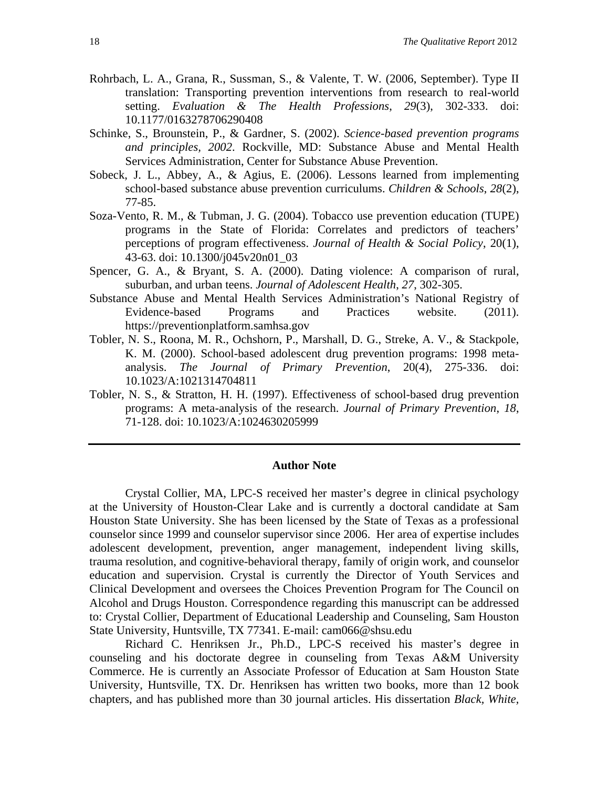- Rohrbach, L. A., Grana, R., Sussman, S., & Valente, T. W. (2006, September). Type II translation: Transporting prevention interventions from research to real-world setting. *Evaluation & The Health Professions*, *29*(3), 302-333. doi: 10.1177/0163278706290408
- Schinke, S., Brounstein, P., & Gardner, S. (2002). *Science-based prevention programs and principles, 2002*. Rockville, MD: Substance Abuse and Mental Health Services Administration, Center for Substance Abuse Prevention.
- Sobeck, J. L., Abbey, A., & Agius, E. (2006). Lessons learned from implementing school-based substance abuse prevention curriculums. *Children & Schools*, *28*(2), 77-85.
- Soza-Vento, R. M., & Tubman, J. G. (2004). Tobacco use prevention education (TUPE) programs in the State of Florida: Correlates and predictors of teachers' perceptions of program effectiveness. *Journal of Health & Social Policy*, 20(1), 43-63. doi: 10.1300/j045v20n01\_03
- Spencer, G. A., & Bryant, S. A. (2000). Dating violence: A comparison of rural, suburban, and urban teens. *Journal of Adolescent Health*, *27*, 302-305.
- Substance Abuse and Mental Health Services Administration's National Registry of Evidence-based Programs and Practices website. (2011). https://preventionplatform.samhsa.gov
- Tobler, N. S., Roona, M. R., Ochshorn, P., Marshall, D. G., Streke, A. V., & Stackpole, K. M. (2000). School-based adolescent drug prevention programs: 1998 metaanalysis. *The Journal of Primary Prevention*, 20(4), 275-336. doi: 10.1023/A:1021314704811
- Tobler, N. S., & Stratton, H. H. (1997). Effectiveness of school-based drug prevention programs: A meta-analysis of the research. *Journal of Primary Prevention*, *18*, 71-128. doi: 10.1023/A:1024630205999

#### **Author Note**

Crystal Collier, MA, LPC-S received her master's degree in clinical psychology at the University of Houston-Clear Lake and is currently a doctoral candidate at Sam Houston State University. She has been licensed by the State of Texas as a professional counselor since 1999 and counselor supervisor since 2006. Her area of expertise includes adolescent development, prevention, anger management, independent living skills, trauma resolution, and cognitive-behavioral therapy, family of origin work, and counselor education and supervision. Crystal is currently the Director of Youth Services and Clinical Development and oversees the Choices Prevention Program for The Council on Alcohol and Drugs Houston. Correspondence regarding this manuscript can be addressed to: Crystal Collier, Department of Educational Leadership and Counseling, Sam Houston State University, Huntsville, TX 77341. E-mail: cam066@shsu.edu

Richard C. Henriksen Jr., Ph.D., LPC-S received his master's degree in counseling and his doctorate degree in counseling from Texas A&M University Commerce. He is currently an Associate Professor of Education at Sam Houston State University, Huntsville, TX. Dr. Henriksen has written two books, more than 12 book chapters, and has published more than 30 journal articles. His dissertation *Black, White,*